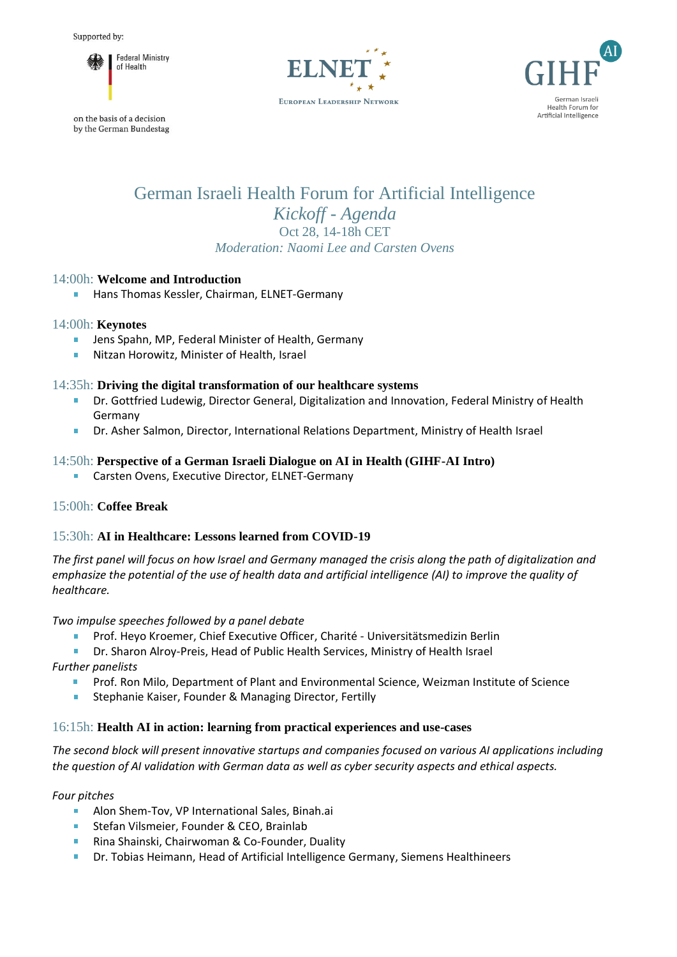

on the basis of a decision by the German Bundestag





# German Israeli Health Forum for Artificial Intelligence *Kickoff - Agenda* Oct 28, 14-18h CET *Moderation: Naomi Lee and Carsten Ovens*

## 14:00h: **Welcome and Introduction**

Hans Thomas Kessler, Chairman, ELNET-Germany

#### 14:00h: **Keynotes**

- $\mathcal{L}_{\mathcal{A}}$ Jens Spahn, MP, Federal Minister of Health, Germany
- Nitzan Horowitz, Minister of Health, Israel

## 14:35h: **Driving the digital transformation of our healthcare systems**

- Dr. Gottfried Ludewig, Director General, Digitalization and Innovation, Federal Ministry of Health Germany
- Dr. Asher Salmon, Director, International Relations Department, Ministry of Health Israel

## 14:50h: **Perspective of a German Israeli Dialogue on AI in Health (GIHF-AI Intro)**

Carsten Ovens, Executive Director, ELNET-Germany  $\mathbf{r}$ 

## 15:00h: **Coffee Break**

## 15:30h: **AI in Healthcare: Lessons learned from COVID-19**

*The first panel will focus on how Israel and Germany managed the crisis along the path of digitalization and emphasize the potential of the use of health data and artificial intelligence (AI) to improve the quality of healthcare.*

*Two impulse speeches followed by a panel debate*

Prof. Heyo Kroemer, Chief Executive Officer, Charité - Universitätsmedizin Berlin

Dr. Sharon Alroy-Preis, Head of Public Health Services, Ministry of Health Israel

*Further panelists*

- Prof. Ron Milo, Department of Plant and Environmental Science, Weizman Institute of Science **B** C
- $\mathbf{u}$  . Stephanie Kaiser, Founder & Managing Director, Fertilly

## 16:15h: **Health AI in action: learning from practical experiences and use-cases**

*The second block will present innovative startups and companies focused on various AI applications including the question of AI validation with German data as well as cyber security aspects and ethical aspects.* 

#### *Four pitches*

- $\mathbf{r}$ Alon Shem-Tov, VP International Sales, Binah.ai
- Stefan Vilsmeier, Founder & CEO, Brainlab
- Rina Shainski, Chairwoman & Co-Founder, Duality
- Dr. Tobias Heimann, Head of Artificial Intelligence Germany, Siemens Healthineers